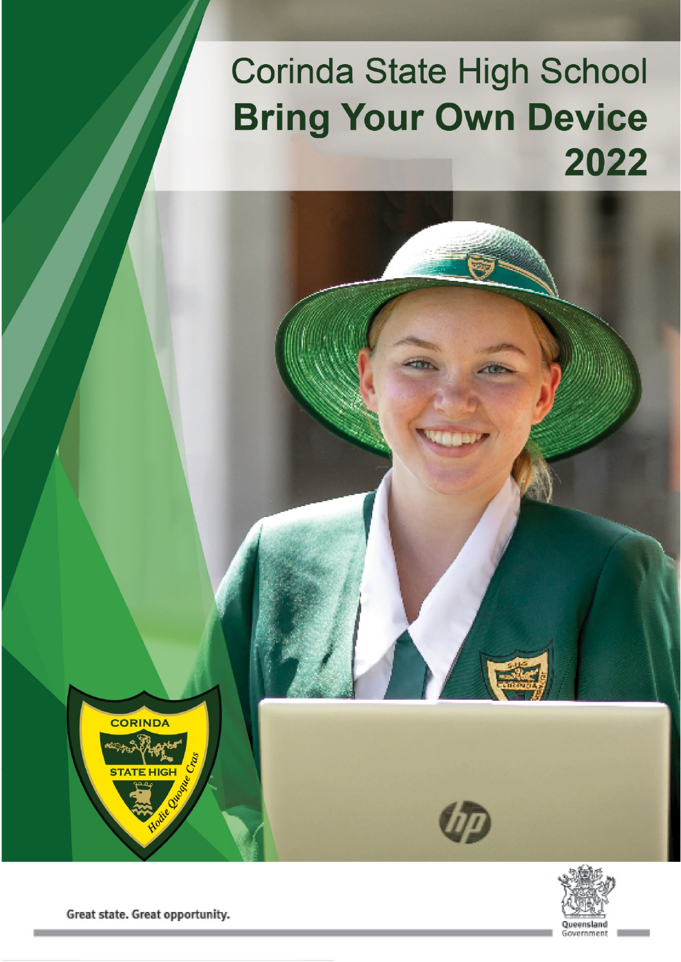# **Corinda State High School Bring Your Own Device** 2022

**CORINDA** STATE HIGH



Great state. Great opportunity.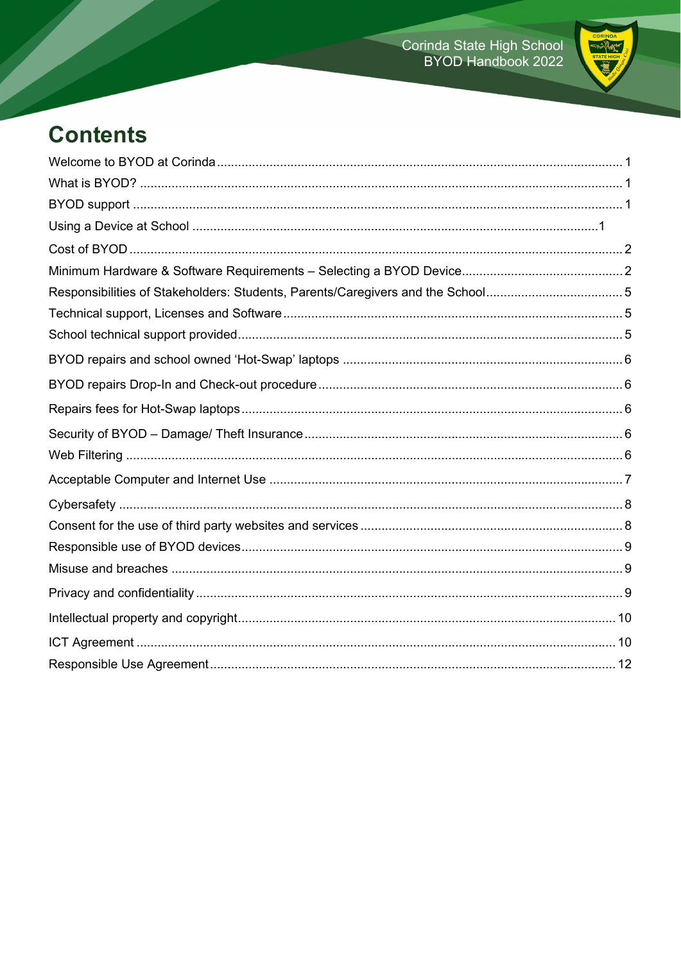

# **Contents**

| Responsibilities of Stakeholders: Students, Parents/Caregivers and the School5 |  |
|--------------------------------------------------------------------------------|--|
|                                                                                |  |
|                                                                                |  |
|                                                                                |  |
|                                                                                |  |
|                                                                                |  |
|                                                                                |  |
|                                                                                |  |
|                                                                                |  |
|                                                                                |  |
|                                                                                |  |
|                                                                                |  |
|                                                                                |  |
|                                                                                |  |
|                                                                                |  |
|                                                                                |  |
|                                                                                |  |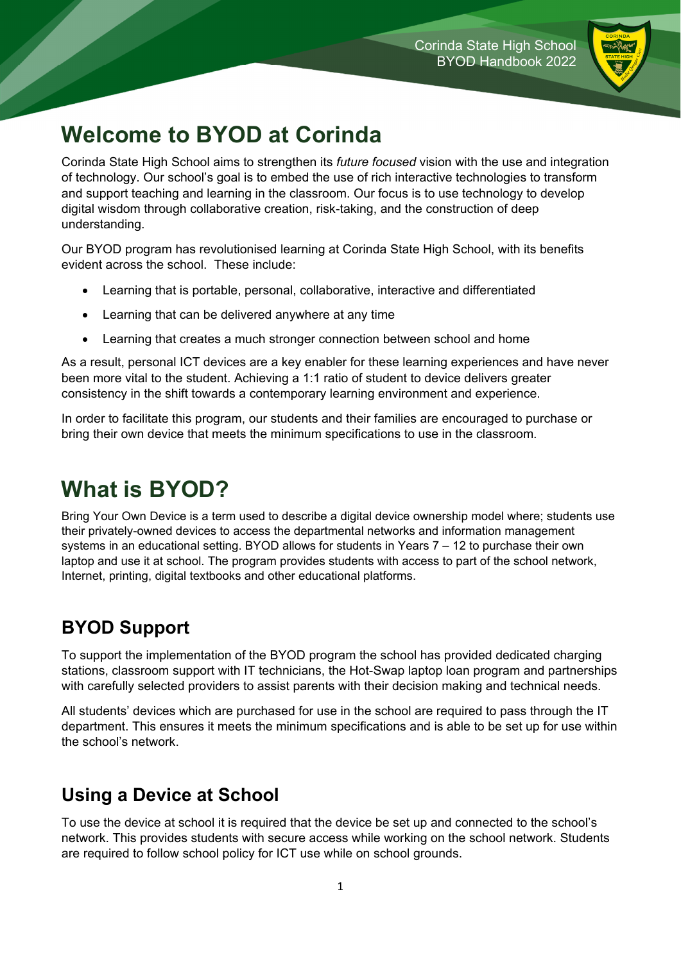

# **Welcome to BYOD at Corinda**

Corinda State High School aims to strengthen its *future focused* vision with the use and integration of technology. Our school's goal is to embed the use of rich interactive technologies to transform and support teaching and learning in the classroom. Our focus is to use technology to develop digital wisdom through collaborative creation, risk-taking, and the construction of deep understanding.

Our BYOD program has revolutionised learning at Corinda State High School, with its benefits evident across the school. These include:

- Learning that is portable, personal, collaborative, interactive and differentiated
- Learning that can be delivered anywhere at any time
- Learning that creates a much stronger connection between school and home

As a result, personal ICT devices are a key enabler for these learning experiences and have never been more vital to the student. Achieving a 1:1 ratio of student to device delivers greater consistency in the shift towards a contemporary learning environment and experience.

In order to facilitate this program, our students and their families are encouraged to purchase or bring their own device that meets the minimum specifications to use in the classroom.

## **What is BYOD?**

Bring Your Own Device is a term used to describe a digital device ownership model where; students use their privately-owned devices to access the departmental networks and information management systems in an educational setting. BYOD allows for students in Years 7 – 12 to purchase their own laptop and use it at school. The program provides students with access to part of the school network, Internet, printing, digital textbooks and other educational platforms.

#### **BYOD Support**

To support the implementation of the BYOD program the school has provided dedicated charging stations, classroom support with IT technicians, the Hot-Swap laptop loan program and partnerships with carefully selected providers to assist parents with their decision making and technical needs.

All students' devices which are purchased for use in the school are required to pass through the IT department. This ensures it meets the minimum specifications and is able to be set up for use within the school's network.

#### **Using a Device at School**

To use the device at school it is required that the device be set up and connected to the school's network. This provides students with secure access while working on the school network. Students are required to follow school policy for ICT use while on school grounds.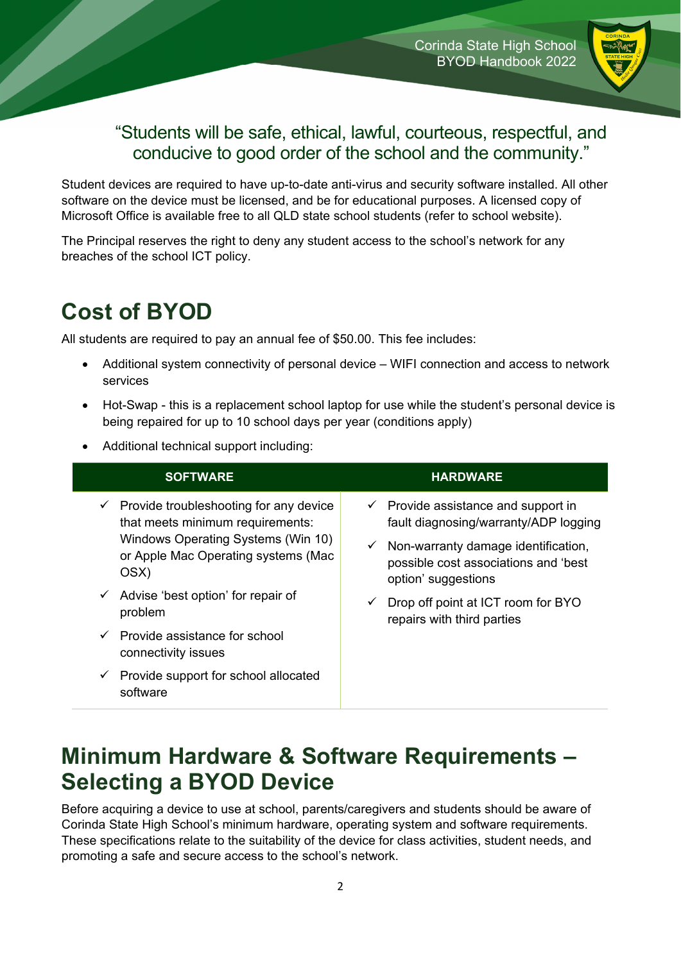

#### "Students will be safe, ethical, lawful, courteous, respectful, and conducive to good order of the school and the community."

Student devices are required to have up-to-date anti-virus and security software installed. All other software on the device must be licensed, and be for educational purposes. A licensed copy of Microsoft Office is available free to all QLD state school students (refer to school website).

The Principal reserves the right to deny any student access to the school's network for any breaches of the school ICT policy.

## **Cost of BYOD**

All students are required to pay an annual fee of \$50.00. This fee includes:

- Additional system connectivity of personal device WIFI connection and access to network services
- Hot-Swap this is a replacement school laptop for use while the student's personal device is being repaired for up to 10 school days per year (conditions apply)
- Additional technical support including:

| <b>SOFTWARE</b>                                                                                                                                                                                                                            | <b>HARDWARE</b>                                                                                                                                                                                                                                  |
|--------------------------------------------------------------------------------------------------------------------------------------------------------------------------------------------------------------------------------------------|--------------------------------------------------------------------------------------------------------------------------------------------------------------------------------------------------------------------------------------------------|
| $\checkmark$ Provide troubleshooting for any device<br>that meets minimum requirements:<br>Windows Operating Systems (Win 10)<br>or Apple Mac Operating systems (Mac<br>OSX)<br>$\checkmark$ Advise 'best option' for repair of<br>problem | $\checkmark$ Provide assistance and support in<br>fault diagnosing/warranty/ADP logging<br>$\checkmark$ Non-warranty damage identification,<br>possible cost associations and 'best<br>option' suggestions<br>Drop off point at ICT room for BYO |
| Provide assistance for school<br>connectivity issues                                                                                                                                                                                       | repairs with third parties                                                                                                                                                                                                                       |
| Provide support for school allocated<br>✓<br>software                                                                                                                                                                                      |                                                                                                                                                                                                                                                  |

## **Minimum Hardware & Software Requirements – Selecting a BYOD Device**

Before acquiring a device to use at school, parents/caregivers and students should be aware of Corinda State High School's minimum hardware, operating system and software requirements. These specifications relate to the suitability of the device for class activities, student needs, and promoting a safe and secure access to the school's network.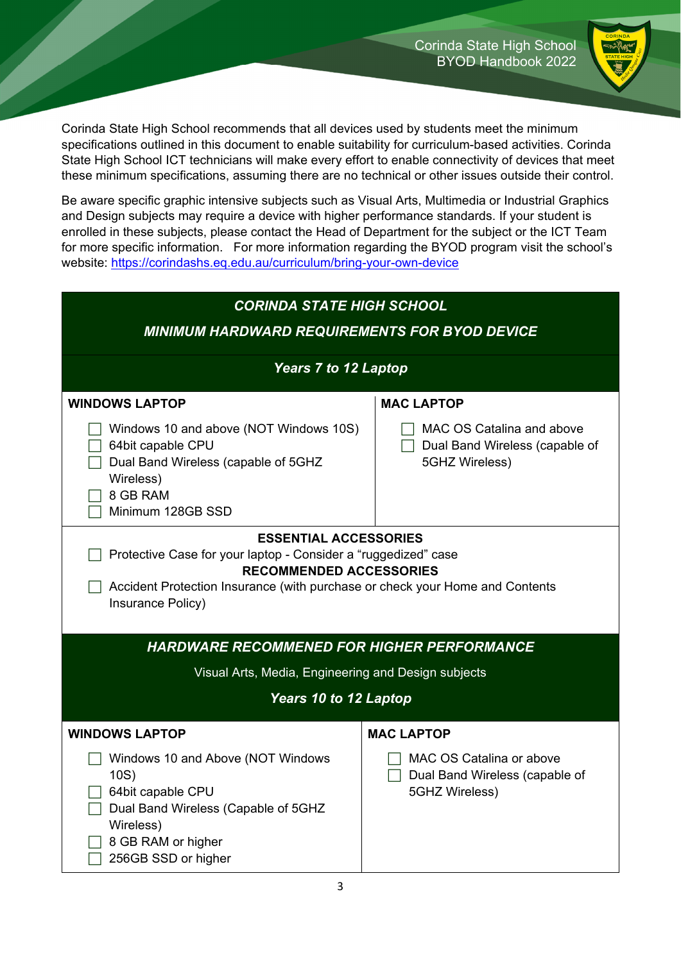

Corinda State High School recommends that all devices used by students meet the minimum specifications outlined in this document to enable suitability for curriculum-based activities. Corinda State High School ICT technicians will make every effort to enable connectivity of devices that meet these minimum specifications, assuming there are no technical or other issues outside their control.

Be aware specific graphic intensive subjects such as Visual Arts, Multimedia or Industrial Graphics and Design subjects may require a device with higher performance standards. If your student is enrolled in these subjects, please contact the Head of Department for the subject or the ICT Team for more specific information. For more information regarding the BYOD program visit the school's website: https://corindashs.eq.edu.au/curriculum/bring-your-own-device

| <b>CORINDA STATE HIGH SCHOOL</b><br><b>MINIMUM HARDWARD REQUIREMENTS FOR BYOD DEVICE</b>                                                                                                                                              |                                                                               |  |  |  |
|---------------------------------------------------------------------------------------------------------------------------------------------------------------------------------------------------------------------------------------|-------------------------------------------------------------------------------|--|--|--|
| <b>Years 7 to 12 Laptop</b>                                                                                                                                                                                                           |                                                                               |  |  |  |
| <b>WINDOWS LAPTOP</b>                                                                                                                                                                                                                 | <b>MAC LAPTOP</b>                                                             |  |  |  |
| Windows 10 and above (NOT Windows 10S)<br>64bit capable CPU<br>Dual Band Wireless (capable of 5GHZ<br>Wireless)<br>8 GB RAM<br>Minimum 128GB SSD                                                                                      | MAC OS Catalina and above<br>Dual Band Wireless (capable of<br>5GHZ Wireless) |  |  |  |
| <b>ESSENTIAL ACCESSORIES</b><br>Protective Case for your laptop - Consider a "ruggedized" case<br><b>RECOMMENDED ACCESSORIES</b><br>Accident Protection Insurance (with purchase or check your Home and Contents<br>Insurance Policy) |                                                                               |  |  |  |
| <b>HARDWARE RECOMMENED FOR HIGHER PERFORMANCE</b>                                                                                                                                                                                     |                                                                               |  |  |  |
| Visual Arts, Media, Engineering and Design subjects                                                                                                                                                                                   |                                                                               |  |  |  |
| Years 10 to 12 Laptop                                                                                                                                                                                                                 |                                                                               |  |  |  |
| <b>WINDOWS LAPTOP</b>                                                                                                                                                                                                                 | <b>MAC LAPTOP</b>                                                             |  |  |  |
| Windows 10 and Above (NOT Windows<br>10S)<br>64bit capable CPU<br>Dual Band Wireless (Capable of 5GHZ<br>Wireless)<br>8 GB RAM or higher<br>256GB SSD or higher                                                                       | MAC OS Catalina or above<br>Dual Band Wireless (capable of<br>5GHZ Wireless)  |  |  |  |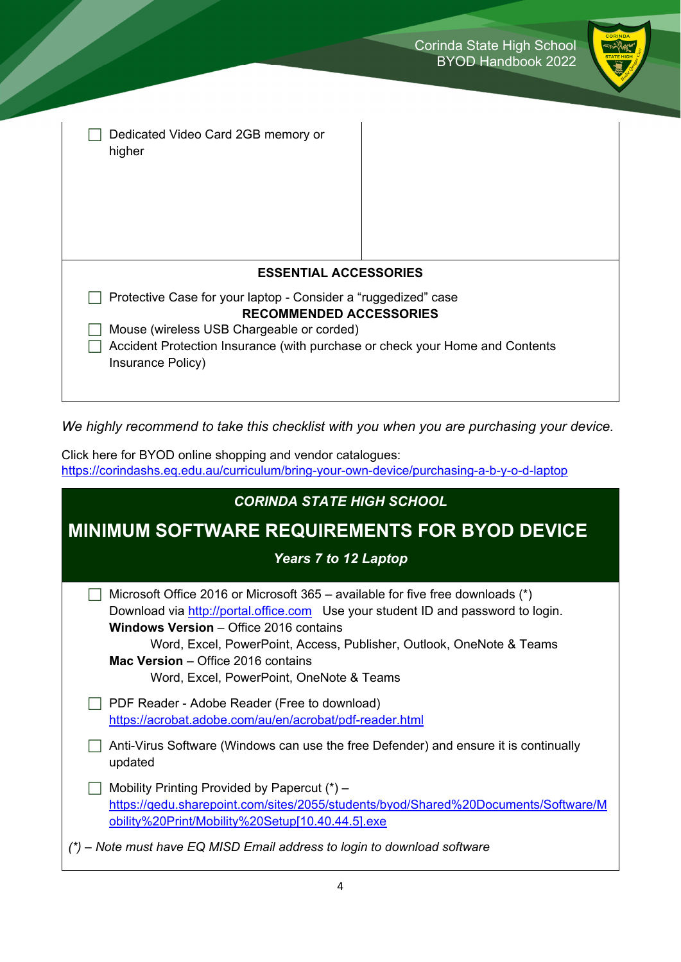| Corinda State High School |  |                           |
|---------------------------|--|---------------------------|
|                           |  | <b>BYOD Handbook 2022</b> |



| Dedicated Video Card 2GB memory or<br>higher                                                      |  |  |
|---------------------------------------------------------------------------------------------------|--|--|
|                                                                                                   |  |  |
|                                                                                                   |  |  |
| <b>ESSENTIAL ACCESSORIES</b>                                                                      |  |  |
| Protective Case for your laptop - Consider a "ruggedized" case                                    |  |  |
| <b>RECOMMENDED ACCESSORIES</b>                                                                    |  |  |
| Mouse (wireless USB Chargeable or corded)                                                         |  |  |
| Accident Protection Insurance (with purchase or check your Home and Contents<br>Insurance Policy) |  |  |
|                                                                                                   |  |  |

*We highly recommend to take this checklist with you when you are purchasing your device.* 

Click here for BYOD online shopping and vendor catalogues: https://corindashs.eq.edu.au/curriculum/bring-your-own-device/purchasing-a-b-y-o-d-laptop

| <b>CORINDA STATE HIGH SCHOOL</b>                                                                                                                                                                                                                                                                                                                                              |  |  |
|-------------------------------------------------------------------------------------------------------------------------------------------------------------------------------------------------------------------------------------------------------------------------------------------------------------------------------------------------------------------------------|--|--|
| <b>MINIMUM SOFTWARE REQUIREMENTS FOR BYOD DEVICE</b>                                                                                                                                                                                                                                                                                                                          |  |  |
| <b>Years 7 to 12 Laptop</b>                                                                                                                                                                                                                                                                                                                                                   |  |  |
| Microsoft Office 2016 or Microsoft 365 – available for five free downloads (*)<br>Download via http://portal.office.com Use your student ID and password to login.<br><b>Windows Version - Office 2016 contains</b><br>Word, Excel, PowerPoint, Access, Publisher, Outlook, OneNote & Teams<br>Mac Version - Office 2016 contains<br>Word, Excel, PowerPoint, OneNote & Teams |  |  |
| PDF Reader - Adobe Reader (Free to download)<br>https://acrobat.adobe.com/au/en/acrobat/pdf-reader.html                                                                                                                                                                                                                                                                       |  |  |
| Anti-Virus Software (Windows can use the free Defender) and ensure it is continually<br>updated                                                                                                                                                                                                                                                                               |  |  |
| Mobility Printing Provided by Papercut $(*)$ –<br>https://gedu.sharepoint.com/sites/2055/students/byod/Shared%20Documents/Software/M<br>obility%20Print/Mobility%20Setup[10.40.44.5].exe                                                                                                                                                                                      |  |  |
| (*) – Note must have EQ MISD Email address to login to download software                                                                                                                                                                                                                                                                                                      |  |  |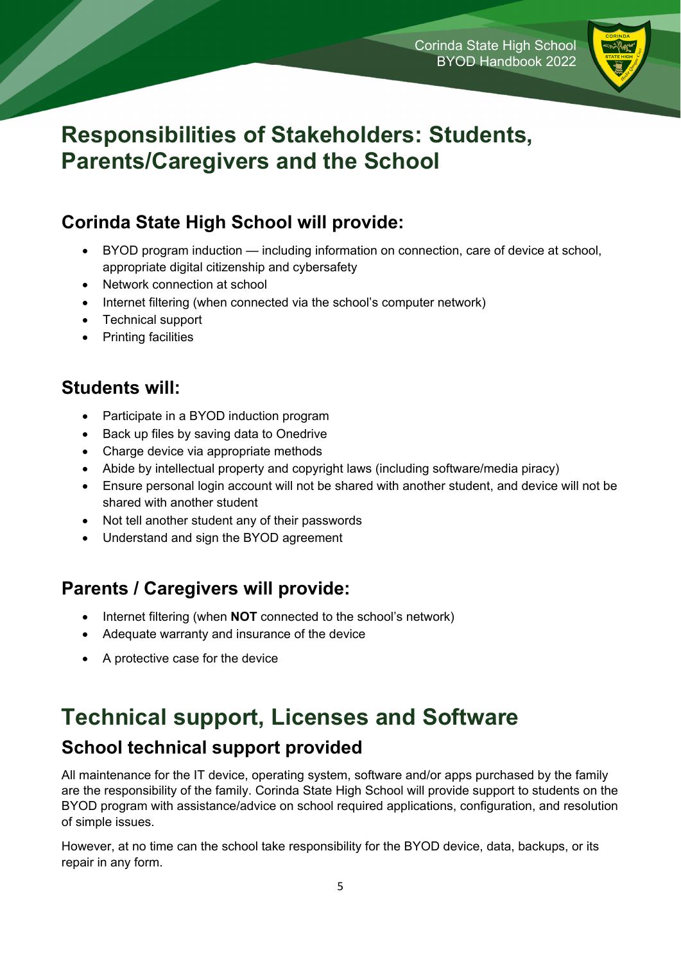

## **Responsibilities of Stakeholders: Students, Parents/Caregivers and the School**

#### **Corinda State High School will provide:**

- BYOD program induction including information on connection, care of device at school, appropriate digital citizenship and cybersafety
- Network connection at school
- Internet filtering (when connected via the school's computer network)
- Technical support
- Printing facilities

#### **Students will:**

- Participate in a BYOD induction program
- Back up files by saving data to Onedrive
- Charge device via appropriate methods
- Abide by intellectual property and copyright laws (including software/media piracy)
- Ensure personal login account will not be shared with another student, and device will not be shared with another student
- Not tell another student any of their passwords
- Understand and sign the BYOD agreement

#### **Parents / Caregivers will provide:**

- Internet filtering (when **NOT** connected to the school's network)
- Adequate warranty and insurance of the device
- A protective case for the device

# **Technical support, Licenses and Software**

#### **School technical support provided**

All maintenance for the IT device, operating system, software and/or apps purchased by the family are the responsibility of the family. Corinda State High School will provide support to students on the BYOD program with assistance/advice on school required applications, configuration, and resolution of simple issues.

However, at no time can the school take responsibility for the BYOD device, data, backups, or its repair in any form.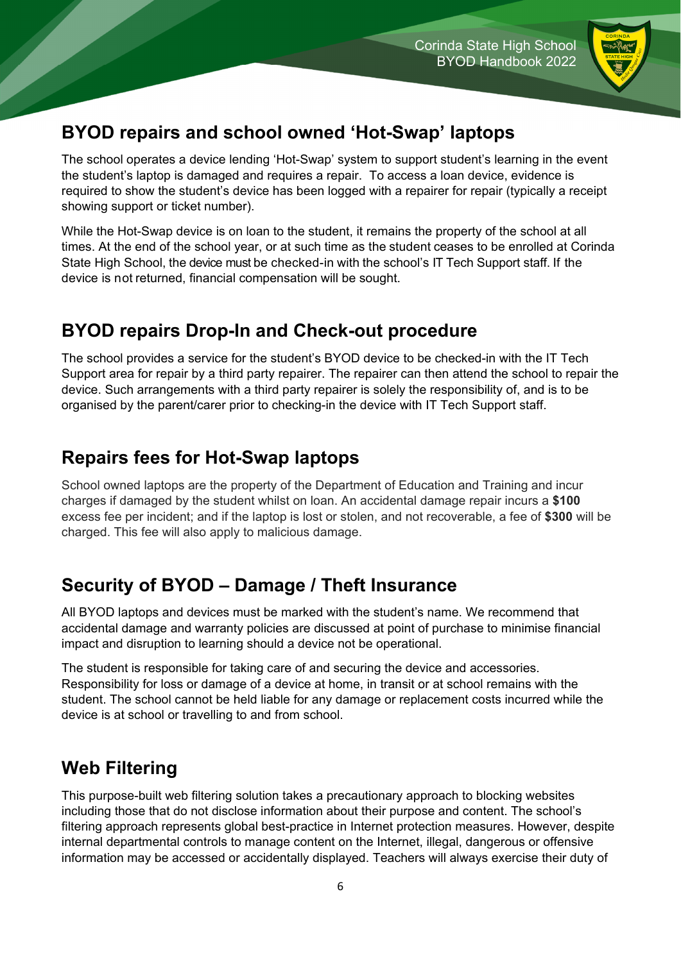

### **BYOD repairs and school owned 'Hot-Swap' laptops**

The school operates a device lending 'Hot-Swap' system to support student's learning in the event the student's laptop is damaged and requires a repair. To access a loan device, evidence is required to show the student's device has been logged with a repairer for repair (typically a receipt showing support or ticket number).

While the Hot-Swap device is on loan to the student, it remains the property of the school at all times. At the end of the school year, or at such time as the student ceases to be enrolled at Corinda State High School, the device must be checked-in with the school's IT Tech Support staff. If the device is not returned, financial compensation will be sought.

#### **BYOD repairs Drop-In and Check-out procedure**

The school provides a service for the student's BYOD device to be checked-in with the IT Tech Support area for repair by a third party repairer. The repairer can then attend the school to repair the device. Such arrangements with a third party repairer is solely the responsibility of, and is to be organised by the parent/carer prior to checking-in the device with IT Tech Support staff.

### **Repairs fees for Hot-Swap laptops**

School owned laptops are the property of the Department of Education and Training and incur charges if damaged by the student whilst on loan. An accidental damage repair incurs a **\$100**  excess fee per incident; and if the laptop is lost or stolen, and not recoverable, a fee of **\$300** will be charged. This fee will also apply to malicious damage.

### **Security of BYOD – Damage / Theft Insurance**

All BYOD laptops and devices must be marked with the student's name. We recommend that accidental damage and warranty policies are discussed at point of purchase to minimise financial impact and disruption to learning should a device not be operational.

The student is responsible for taking care of and securing the device and accessories. Responsibility for loss or damage of a device at home, in transit or at school remains with the student. The school cannot be held liable for any damage or replacement costs incurred while the device is at school or travelling to and from school.

### **Web Filtering**

This purpose-built web filtering solution takes a precautionary approach to blocking websites including those that do not disclose information about their purpose and content. The school's filtering approach represents global best-practice in Internet protection measures. However, despite internal departmental controls to manage content on the Internet, illegal, dangerous or offensive information may be accessed or accidentally displayed. Teachers will always exercise their duty of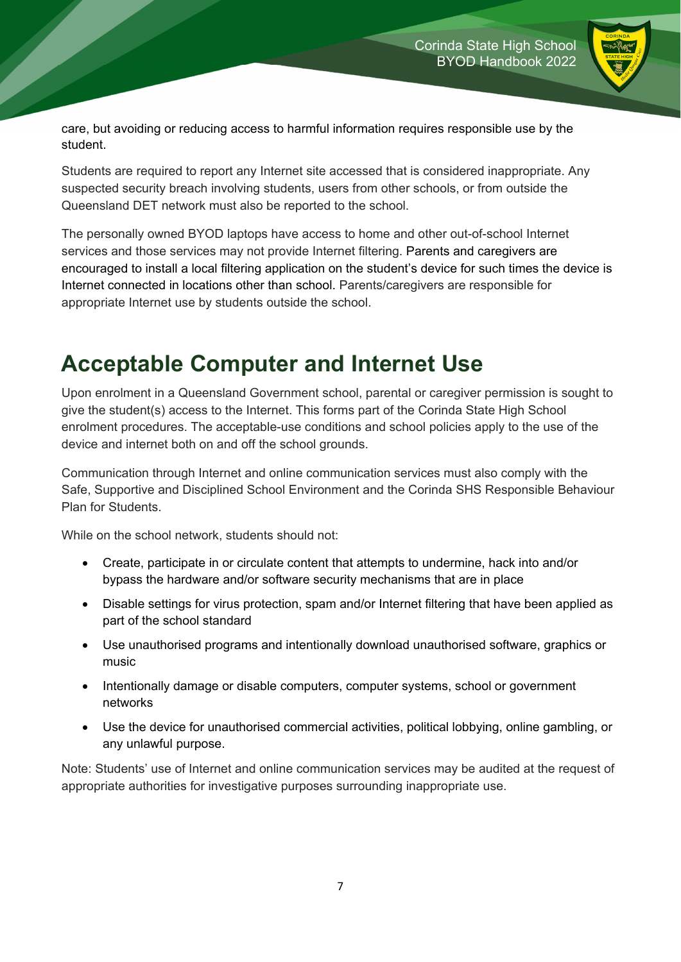

care, but avoiding or reducing access to harmful information requires responsible use by the student.

Students are required to report any Internet site accessed that is considered inappropriate. Any suspected security breach involving students, users from other schools, or from outside the Queensland DET network must also be reported to the school.

The personally owned BYOD laptops have access to home and other out-of-school Internet services and those services may not provide Internet filtering. Parents and caregivers are encouraged to install a local filtering application on the student's device for such times the device is Internet connected in locations other than school. Parents/caregivers are responsible for appropriate Internet use by students outside the school.

# **Acceptable Computer and Internet Use**

Upon enrolment in a Queensland Government school, parental or caregiver permission is sought to give the student(s) access to the Internet. This forms part of the Corinda State High School enrolment procedures. The acceptable-use conditions and school policies apply to the use of the device and internet both on and off the school grounds.

Communication through Internet and online communication services must also comply with the Safe, Supportive and Disciplined School Environment and the Corinda SHS Responsible Behaviour Plan for Students.

While on the school network, students should not:

- Create, participate in or circulate content that attempts to undermine, hack into and/or bypass the hardware and/or software security mechanisms that are in place
- Disable settings for virus protection, spam and/or Internet filtering that have been applied as part of the school standard
- Use unauthorised programs and intentionally download unauthorised software, graphics or music
- Intentionally damage or disable computers, computer systems, school or government networks
- Use the device for unauthorised commercial activities, political lobbying, online gambling, or any unlawful purpose.

Note: Students' use of Internet and online communication services may be audited at the request of appropriate authorities for investigative purposes surrounding inappropriate use.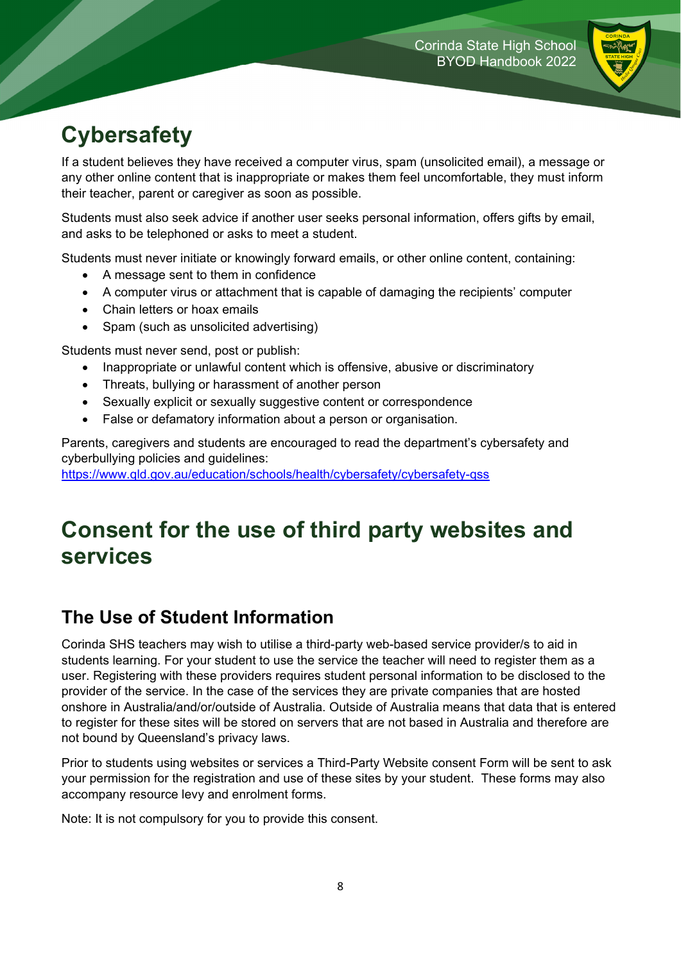

# **Cybersafety**

If a student believes they have received a computer virus, spam (unsolicited email), a message or any other online content that is inappropriate or makes them feel uncomfortable, they must inform their teacher, parent or caregiver as soon as possible.

Students must also seek advice if another user seeks personal information, offers gifts by email, and asks to be telephoned or asks to meet a student.

Students must never initiate or knowingly forward emails, or other online content, containing:

- A message sent to them in confidence
- A computer virus or attachment that is capable of damaging the recipients' computer
- Chain letters or hoax emails
- Spam (such as unsolicited advertising)

Students must never send, post or publish:

- Inappropriate or unlawful content which is offensive, abusive or discriminatory
- Threats, bullying or harassment of another person
- Sexually explicit or sexually suggestive content or correspondence
- False or defamatory information about a person or organisation.

Parents, caregivers and students are encouraged to read the department's cybersafety and cyberbullying policies and guidelines:

https://www.qld.gov.au/education/schools/health/cybersafety/cybersafety-qss

## **Consent for the use of third party websites and services**

### **The Use of Student Information**

Corinda SHS teachers may wish to utilise a third-party web-based service provider/s to aid in students learning. For your student to use the service the teacher will need to register them as a user. Registering with these providers requires student personal information to be disclosed to the provider of the service. In the case of the services they are private companies that are hosted onshore in Australia/and/or/outside of Australia. Outside of Australia means that data that is entered to register for these sites will be stored on servers that are not based in Australia and therefore are not bound by Queensland's privacy laws.

Prior to students using websites or services a Third-Party Website consent Form will be sent to ask your permission for the registration and use of these sites by your student. These forms may also accompany resource levy and enrolment forms.

Note: It is not compulsory for you to provide this consent.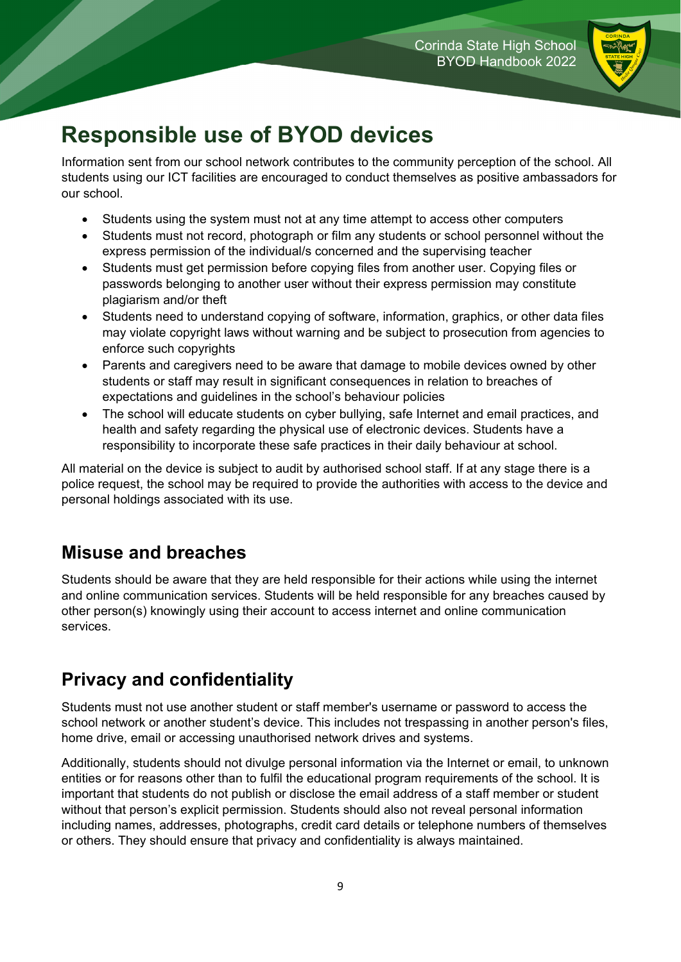

## **Responsible use of BYOD devices**

Information sent from our school network contributes to the community perception of the school. All students using our ICT facilities are encouraged to conduct themselves as positive ambassadors for our school.

- Students using the system must not at any time attempt to access other computers
- Students must not record, photograph or film any students or school personnel without the express permission of the individual/s concerned and the supervising teacher
- Students must get permission before copying files from another user. Copying files or passwords belonging to another user without their express permission may constitute plagiarism and/or theft
- Students need to understand copying of software, information, graphics, or other data files may violate copyright laws without warning and be subject to prosecution from agencies to enforce such copyrights
- Parents and caregivers need to be aware that damage to mobile devices owned by other students or staff may result in significant consequences in relation to breaches of expectations and guidelines in the school's behaviour policies
- The school will educate students on cyber bullying, safe Internet and email practices, and health and safety regarding the physical use of electronic devices. Students have a responsibility to incorporate these safe practices in their daily behaviour at school.

All material on the device is subject to audit by authorised school staff. If at any stage there is a police request, the school may be required to provide the authorities with access to the device and personal holdings associated with its use.

#### **Misuse and breaches**

Students should be aware that they are held responsible for their actions while using the internet and online communication services. Students will be held responsible for any breaches caused by other person(s) knowingly using their account to access internet and online communication services.

#### **Privacy and confidentiality**

Students must not use another student or staff member's username or password to access the school network or another student's device. This includes not trespassing in another person's files, home drive, email or accessing unauthorised network drives and systems.

Additionally, students should not divulge personal information via the Internet or email, to unknown entities or for reasons other than to fulfil the educational program requirements of the school. It is important that students do not publish or disclose the email address of a staff member or student without that person's explicit permission. Students should also not reveal personal information including names, addresses, photographs, credit card details or telephone numbers of themselves or others. They should ensure that privacy and confidentiality is always maintained.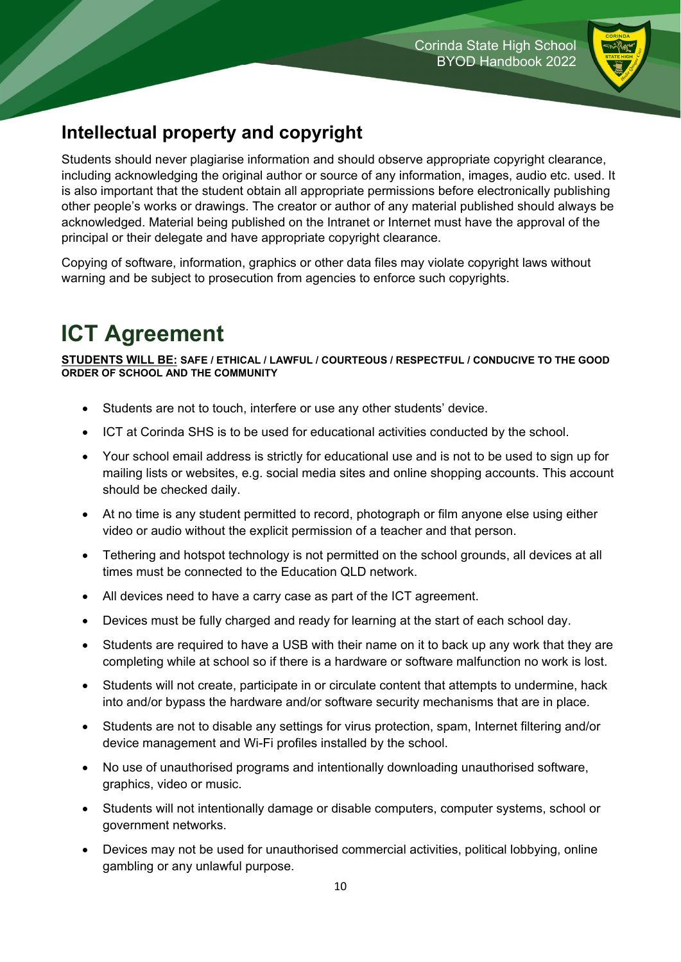

### **Intellectual property and copyright**

Students should never plagiarise information and should observe appropriate copyright clearance, including acknowledging the original author or source of any information, images, audio etc. used. It is also important that the student obtain all appropriate permissions before electronically publishing other people's works or drawings. The creator or author of any material published should always be acknowledged. Material being published on the Intranet or Internet must have the approval of the principal or their delegate and have appropriate copyright clearance.

Copying of software, information, graphics or other data files may violate copyright laws without warning and be subject to prosecution from agencies to enforce such copyrights.

# **ICT Agreement**

**STUDENTS WILL BE: SAFE / ETHICAL / LAWFUL / COURTEOUS / RESPECTFUL / CONDUCIVE TO THE GOOD ORDER OF SCHOOL AND THE COMMUNITY** 

- Students are not to touch, interfere or use any other students' device.
- ICT at Corinda SHS is to be used for educational activities conducted by the school.
- Your school email address is strictly for educational use and is not to be used to sign up for mailing lists or websites, e.g. social media sites and online shopping accounts. This account should be checked daily.
- At no time is any student permitted to record, photograph or film anyone else using either video or audio without the explicit permission of a teacher and that person.
- Tethering and hotspot technology is not permitted on the school grounds, all devices at all times must be connected to the Education QLD network.
- All devices need to have a carry case as part of the ICT agreement.
- Devices must be fully charged and ready for learning at the start of each school day.
- Students are required to have a USB with their name on it to back up any work that they are completing while at school so if there is a hardware or software malfunction no work is lost.
- Students will not create, participate in or circulate content that attempts to undermine, hack into and/or bypass the hardware and/or software security mechanisms that are in place.
- Students are not to disable any settings for virus protection, spam, Internet filtering and/or device management and Wi-Fi profiles installed by the school.
- No use of unauthorised programs and intentionally downloading unauthorised software, graphics, video or music.
- Students will not intentionally damage or disable computers, computer systems, school or government networks.
- Devices may not be used for unauthorised commercial activities, political lobbying, online gambling or any unlawful purpose.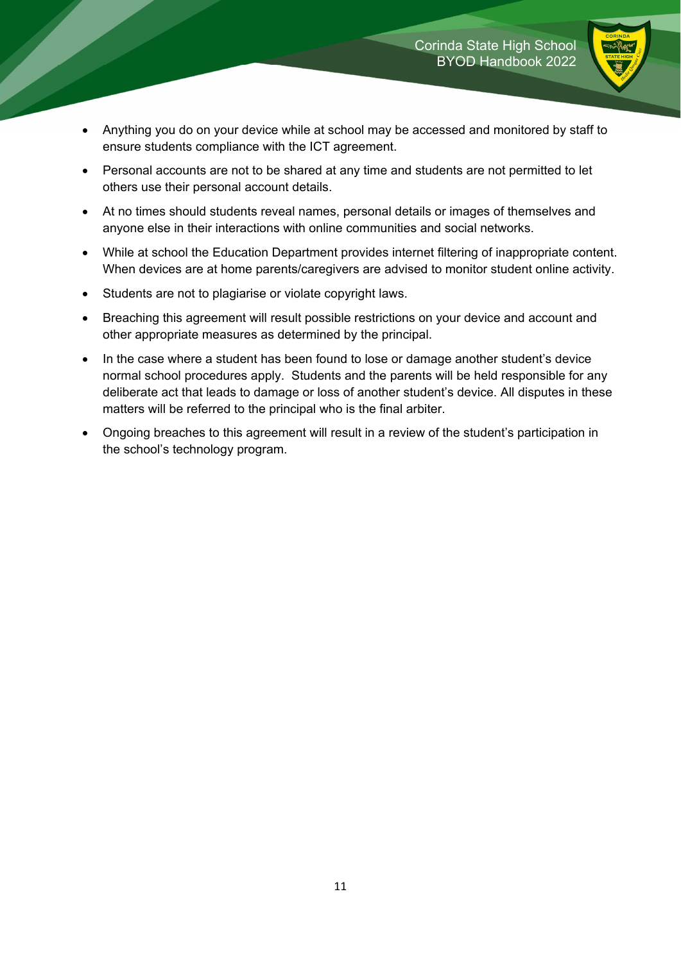

- Anything you do on your device while at school may be accessed and monitored by staff to ensure students compliance with the ICT agreement.
- Personal accounts are not to be shared at any time and students are not permitted to let others use their personal account details.
- At no times should students reveal names, personal details or images of themselves and anyone else in their interactions with online communities and social networks.
- While at school the Education Department provides internet filtering of inappropriate content. When devices are at home parents/caregivers are advised to monitor student online activity.
- Students are not to plagiarise or violate copyright laws.
- Breaching this agreement will result possible restrictions on your device and account and other appropriate measures as determined by the principal.
- In the case where a student has been found to lose or damage another student's device normal school procedures apply. Students and the parents will be held responsible for any deliberate act that leads to damage or loss of another student's device. All disputes in these matters will be referred to the principal who is the final arbiter.
- Ongoing breaches to this agreement will result in a review of the student's participation in the school's technology program.